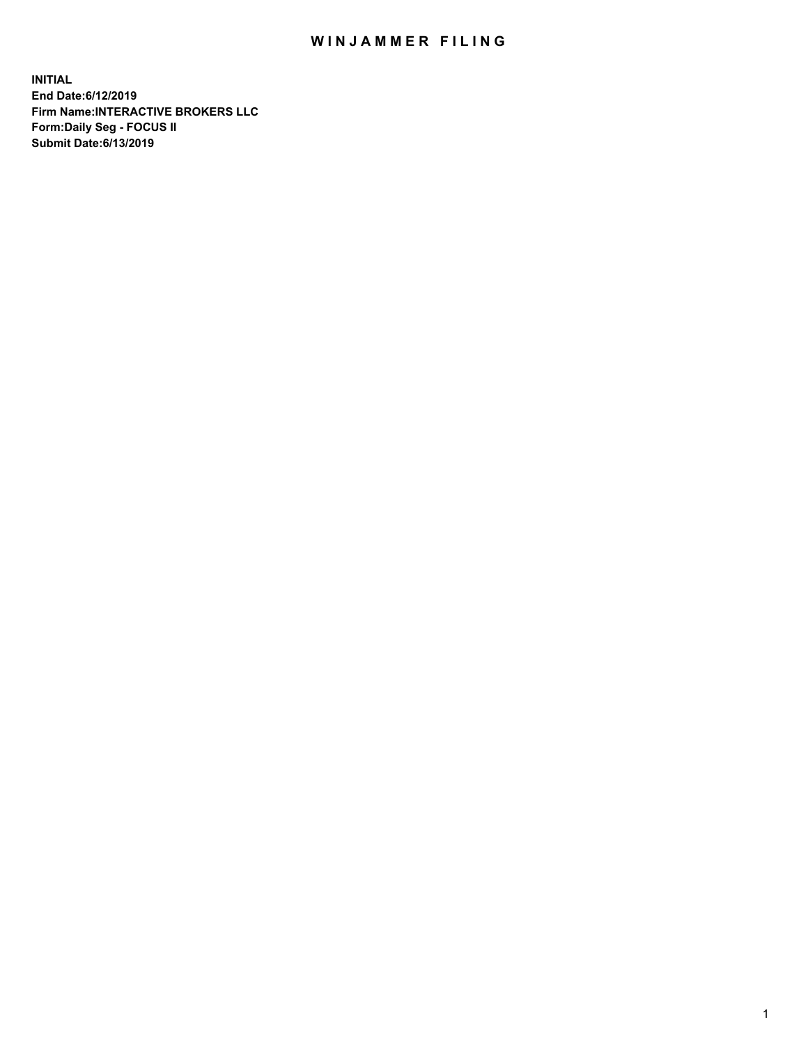## WIN JAMMER FILING

**INITIAL End Date:6/12/2019 Firm Name:INTERACTIVE BROKERS LLC Form:Daily Seg - FOCUS II Submit Date:6/13/2019**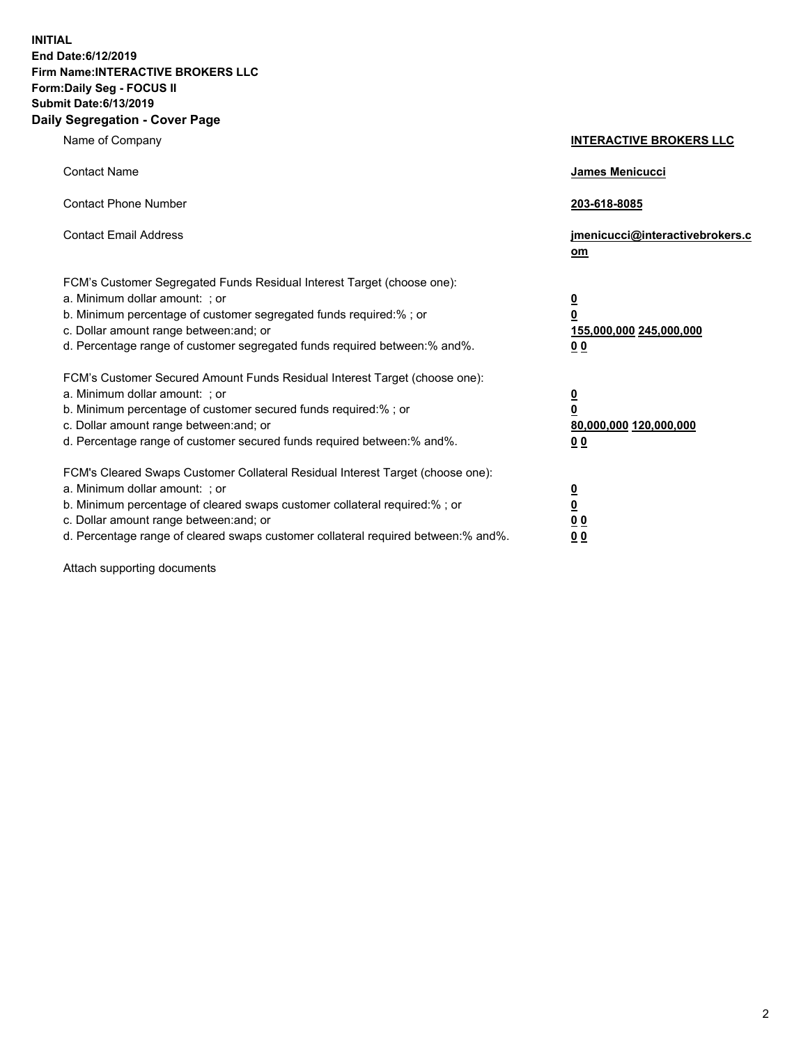**INITIAL End Date:6/12/2019 Firm Name:INTERACTIVE BROKERS LLC Form:Daily Seg - FOCUS II Submit Date:6/13/2019 Daily Segregation - Cover Page**

| Name of Company                                                                                                                                                                                                                                                                                                                | <b>INTERACTIVE BROKERS LLC</b>                                                                  |
|--------------------------------------------------------------------------------------------------------------------------------------------------------------------------------------------------------------------------------------------------------------------------------------------------------------------------------|-------------------------------------------------------------------------------------------------|
| <b>Contact Name</b>                                                                                                                                                                                                                                                                                                            | James Menicucci                                                                                 |
| <b>Contact Phone Number</b>                                                                                                                                                                                                                                                                                                    | 203-618-8085                                                                                    |
| <b>Contact Email Address</b>                                                                                                                                                                                                                                                                                                   | jmenicucci@interactivebrokers.c<br>om                                                           |
| FCM's Customer Segregated Funds Residual Interest Target (choose one):<br>a. Minimum dollar amount: ; or<br>b. Minimum percentage of customer segregated funds required:% ; or<br>c. Dollar amount range between: and; or<br>d. Percentage range of customer segregated funds required between:% and%.                         | $\overline{\mathbf{0}}$<br>$\overline{\mathbf{0}}$<br>155,000,000 245,000,000<br>0 <sub>0</sub> |
| FCM's Customer Secured Amount Funds Residual Interest Target (choose one):<br>a. Minimum dollar amount: ; or<br>b. Minimum percentage of customer secured funds required:% ; or<br>c. Dollar amount range between: and; or<br>d. Percentage range of customer secured funds required between:% and%.                           | $\overline{\mathbf{0}}$<br>0<br>80,000,000 120,000,000<br>0 <sub>0</sub>                        |
| FCM's Cleared Swaps Customer Collateral Residual Interest Target (choose one):<br>a. Minimum dollar amount: ; or<br>b. Minimum percentage of cleared swaps customer collateral required:% ; or<br>c. Dollar amount range between: and; or<br>d. Percentage range of cleared swaps customer collateral required between:% and%. | $\overline{\mathbf{0}}$<br><u>0</u><br>$\underline{0}$ $\underline{0}$<br>00                    |

Attach supporting documents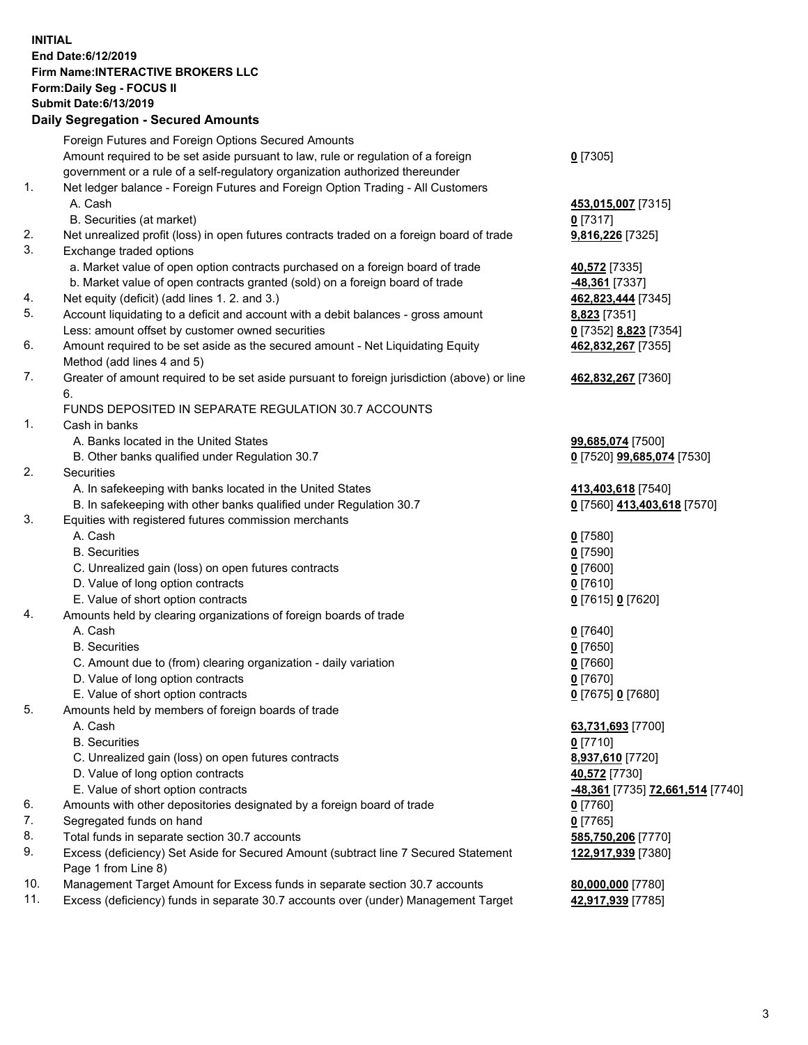## **INITIAL End Date:6/12/2019 Firm Name:INTERACTIVE BROKERS LLC Form:Daily Seg - FOCUS II Submit Date:6/13/2019 Daily Segregation - Secured Amounts**

|                | Dany Segregation - Secured Announts                                                                                                  |                                                |
|----------------|--------------------------------------------------------------------------------------------------------------------------------------|------------------------------------------------|
|                | Foreign Futures and Foreign Options Secured Amounts                                                                                  |                                                |
|                | Amount required to be set aside pursuant to law, rule or regulation of a foreign                                                     | $0$ [7305]                                     |
|                | government or a rule of a self-regulatory organization authorized thereunder                                                         |                                                |
| $\mathbf{1}$ . | Net ledger balance - Foreign Futures and Foreign Option Trading - All Customers                                                      |                                                |
|                | A. Cash                                                                                                                              | 453,015,007 [7315]                             |
|                | B. Securities (at market)                                                                                                            | $0$ [7317]                                     |
| 2.             | Net unrealized profit (loss) in open futures contracts traded on a foreign board of trade                                            | 9,816,226 [7325]                               |
| 3.             | Exchange traded options                                                                                                              |                                                |
|                | a. Market value of open option contracts purchased on a foreign board of trade                                                       | <b>40,572</b> [7335]                           |
|                | b. Market value of open contracts granted (sold) on a foreign board of trade                                                         | 48,361 [7337]                                  |
| 4.             | Net equity (deficit) (add lines 1. 2. and 3.)                                                                                        | 462,823,444 [7345]                             |
| 5.             | Account liquidating to a deficit and account with a debit balances - gross amount                                                    | 8,823 [7351]                                   |
|                | Less: amount offset by customer owned securities                                                                                     | 0 [7352] 8,823 [7354]                          |
| 6.             | Amount required to be set aside as the secured amount - Net Liquidating Equity                                                       | 462,832,267 [7355]                             |
|                | Method (add lines 4 and 5)                                                                                                           |                                                |
| 7.             | Greater of amount required to be set aside pursuant to foreign jurisdiction (above) or line                                          | 462,832,267 [7360]                             |
|                | 6.                                                                                                                                   |                                                |
|                | FUNDS DEPOSITED IN SEPARATE REGULATION 30.7 ACCOUNTS                                                                                 |                                                |
| 1.             | Cash in banks                                                                                                                        |                                                |
|                | A. Banks located in the United States                                                                                                | 99,685,074 [7500]                              |
|                | B. Other banks qualified under Regulation 30.7                                                                                       | 0 [7520] 99,685,074 [7530]                     |
| 2.             | <b>Securities</b>                                                                                                                    |                                                |
|                | A. In safekeeping with banks located in the United States                                                                            | 413,403,618 [7540]                             |
|                | B. In safekeeping with other banks qualified under Regulation 30.7                                                                   | 0 [7560] 413,403,618 [7570]                    |
| 3.             | Equities with registered futures commission merchants                                                                                |                                                |
|                | A. Cash                                                                                                                              | $0$ [7580]                                     |
|                | <b>B.</b> Securities                                                                                                                 | $0$ [7590]                                     |
|                | C. Unrealized gain (loss) on open futures contracts                                                                                  | $0$ [7600]                                     |
|                | D. Value of long option contracts                                                                                                    | $0$ [7610]                                     |
|                | E. Value of short option contracts                                                                                                   | 0 [7615] 0 [7620]                              |
| 4.             | Amounts held by clearing organizations of foreign boards of trade                                                                    |                                                |
|                | A. Cash                                                                                                                              | $0$ [7640]                                     |
|                | <b>B.</b> Securities                                                                                                                 | $0$ [7650]                                     |
|                | C. Amount due to (from) clearing organization - daily variation                                                                      | $0$ [7660]                                     |
|                | D. Value of long option contracts                                                                                                    | $0$ [7670]                                     |
|                | E. Value of short option contracts                                                                                                   | 0 [7675] 0 [7680]                              |
| 5.             | Amounts held by members of foreign boards of trade                                                                                   |                                                |
|                | A. Cash                                                                                                                              | 63,731,693 [7700]                              |
|                | <b>B.</b> Securities                                                                                                                 | $0$ [7710]                                     |
|                | C. Unrealized gain (loss) on open futures contracts                                                                                  | 8,937,610 [7720]                               |
|                | D. Value of long option contracts                                                                                                    | 40,572 [7730]                                  |
| 6.             | E. Value of short option contracts                                                                                                   | <u>-48,361</u> [7735] <u>72,661,514</u> [7740] |
| 7.             | Amounts with other depositories designated by a foreign board of trade                                                               | 0 [7760]                                       |
| 8.             | Segregated funds on hand                                                                                                             | $0$ [7765]                                     |
| 9.             | Total funds in separate section 30.7 accounts<br>Excess (deficiency) Set Aside for Secured Amount (subtract line 7 Secured Statement | 585,750,206 [7770]<br>122,917,939 [7380]       |
|                | Page 1 from Line 8)                                                                                                                  |                                                |
| 10.            | Management Target Amount for Excess funds in separate section 30.7 accounts                                                          | 80,000,000 [7780]                              |
| 11.            | Excess (deficiency) funds in separate 30.7 accounts over (under) Management Target                                                   | 42,917,939 [7785]                              |
|                |                                                                                                                                      |                                                |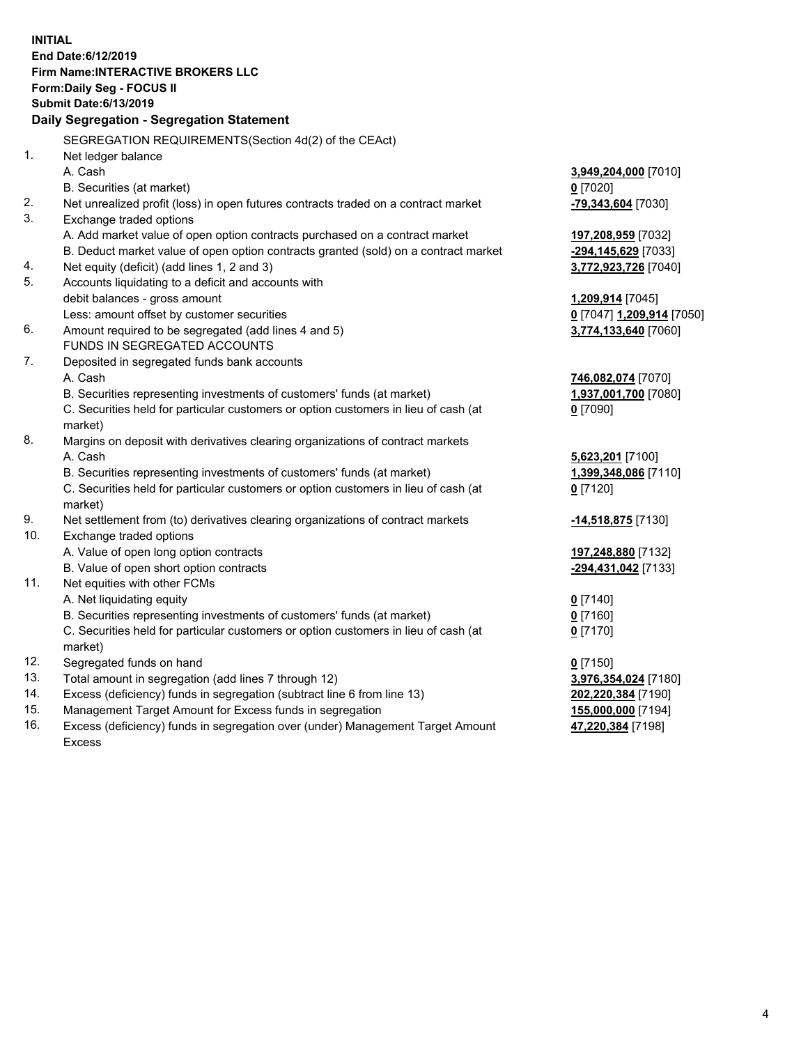**INITIAL End Date:6/12/2019 Firm Name:INTERACTIVE BROKERS LLC Form:Daily Seg - FOCUS II Submit Date:6/13/2019 Daily Segregation - Segregation Statement** SEGREGATION REQUIREMENTS(Section 4d(2) of the CEAct) 1. Net ledger balance A. Cash **3,949,204,000** [7010] B. Securities (at market) **0** [7020] 2. Net unrealized profit (loss) in open futures contracts traded on a contract market **-79,343,604** [7030] 3. Exchange traded options A. Add market value of open option contracts purchased on a contract market **197,208,959** [7032] B. Deduct market value of open option contracts granted (sold) on a contract market **-294,145,629** [7033] 4. Net equity (deficit) (add lines 1, 2 and 3) **3,772,923,726** [7040] 5. Accounts liquidating to a deficit and accounts with debit balances - gross amount **1,209,914** [7045] Less: amount offset by customer securities **0** [7047] **1,209,914** [7050] 6. Amount required to be segregated (add lines 4 and 5) **3,774,133,640** [7060] FUNDS IN SEGREGATED ACCOUNTS 7. Deposited in segregated funds bank accounts A. Cash **746,082,074** [7070] B. Securities representing investments of customers' funds (at market) **1,937,001,700** [7080] C. Securities held for particular customers or option customers in lieu of cash (at market) **0** [7090] 8. Margins on deposit with derivatives clearing organizations of contract markets A. Cash **5,623,201** [7100] B. Securities representing investments of customers' funds (at market) **1,399,348,086** [7110] C. Securities held for particular customers or option customers in lieu of cash (at market) **0** [7120] 9. Net settlement from (to) derivatives clearing organizations of contract markets **-14,518,875** [7130] 10. Exchange traded options A. Value of open long option contracts **197,248,880** [7132] B. Value of open short option contracts **-294,431,042** [7133] 11. Net equities with other FCMs A. Net liquidating equity **0** [7140] B. Securities representing investments of customers' funds (at market) **0** [7160] C. Securities held for particular customers or option customers in lieu of cash (at market) **0** [7170] 12. Segregated funds on hand **0** [7150] 13. Total amount in segregation (add lines 7 through 12) **3,976,354,024** [7180] 14. Excess (deficiency) funds in segregation (subtract line 6 from line 13) **202,220,384** [7190] 15. Management Target Amount for Excess funds in segregation **155,000,000** [7194]

16. Excess (deficiency) funds in segregation over (under) Management Target Amount Excess

**47,220,384** [7198]